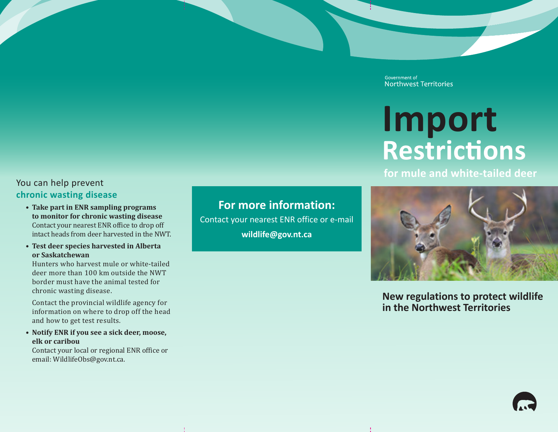## You can help prevent **chronic wasting disease**

- **• Take part in ENR sampling programs to monitor for chronic wasting disease** Contact your nearest ENR office to drop off intact heads from deer harvested in the NWT.
- **• Test deer species harvested in Alberta or Saskatchewan**

Hunters who harvest mule or white-tailed deer more than 100 km outside the NWT border must have the animal tested for chronic wasting disease.

Contact the provincial wildlife agency for information on where to drop off the head and how to get test results.

**• Notify ENR if you see a sick deer, moose, elk or caribou**

Contact your local or regional ENR office or email: WildlifeObs@gov.nt.ca.

**For more information:** Contact your nearest ENR office or e-mail **wildlife@gov.nt.ca**

Government of Northwest Territories

# **Import Restrictions**

**for mule and white-tailed deer**



**New regulations to protect wildlife in the Northwest Territories**